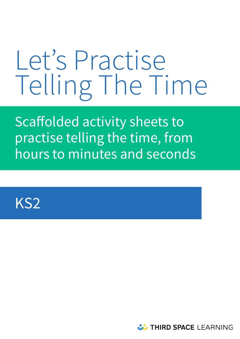# Let's Practise Telling The Time

Scaffolded activity sheets to practise telling the time, from hours to minutes and seconds



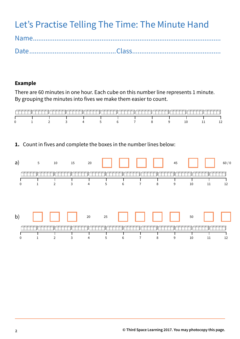Let's Practise Telling The Time: The Minute Hand

# **Example**

There are 60 minutes in one hour. Each cube on this number line represents 1 minute. By grouping the minutes into fives we make them easier to count.

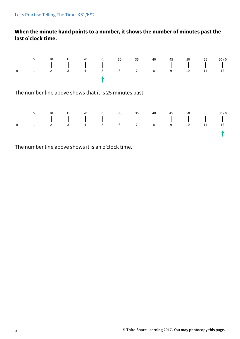# **When the minute hand points to a number, it shows the number of minutes past the last o'clock time.**



The number line above shows that it is 25 minutes past.



The number line above shows it is an o'clock time.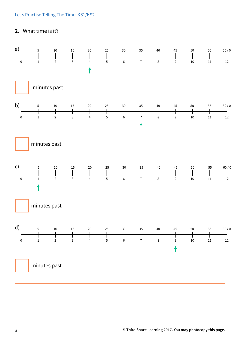### Let's Practise Telling The Time: KS1/KS2

# **2.** What time is it?

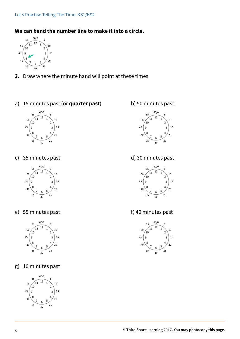# **We can bend the number line to make it into a circle.**



- **3.** Draw where the minute hand will point at these times.
- a) 15 minutes past (or **quarter past**) b) 50 minutes past



c) 35 minutes past d) 30 minutes past



e) 55 minutes past f) 40 minutes past



g) 10 minutes past